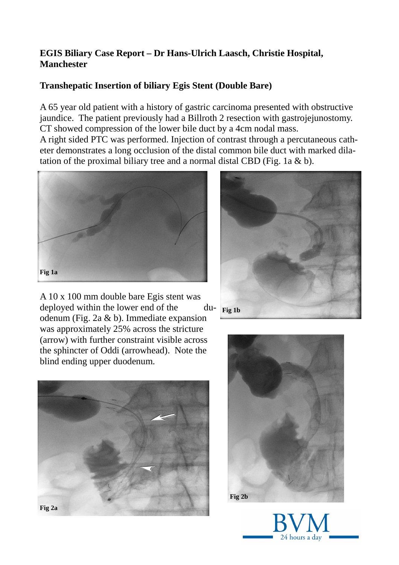## **EGIS Biliary Case Report – Dr Hans-Ulrich Laasch, Christie Hospital, Manchester**

## **Transhepatic Insertion of biliary Egis Stent (Double Bare)**

A 65 year old patient with a history of gastric carcinoma presented with obstructive jaundice. The patient previously had a Billroth 2 resection with gastrojejunostomy. CT showed compression of the lower bile duct by a 4cm nodal mass.

A right sided PTC was performed. Injection of contrast through a percutaneous catheter demonstrates a long occlusion of the distal common bile duct with marked dilatation of the proximal biliary tree and a normal distal CBD (Fig. 1a  $\&$  b).



A 10 x 100 mm double bare Egis stent was deployed within the lower end of the duodenum (Fig. 2a & b). Immediate expansion was approximately 25% across the stricture (arrow) with further constraint visible across the sphincter of Oddi (arrowhead). Note the blind ending upper duodenum.







24 hours a dav